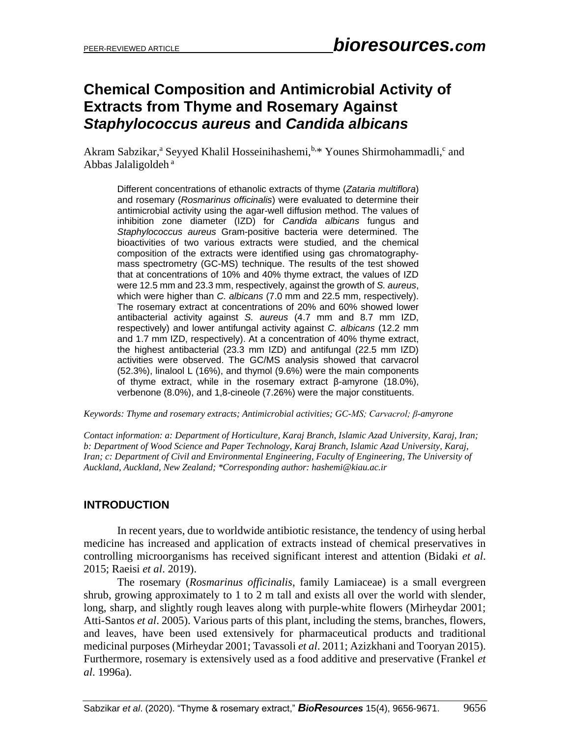# **Chemical Composition and Antimicrobial Activity of Extracts from Thyme and Rosemary Against**  *Staphylococcus aureus* **and** *Candida albicans*

Akram Sabzikar,<sup>a</sup> Seyyed Khalil Hosseinihashemi,<sup>b,\*</sup> Younes Shirmohammadli,<sup>c</sup> and Abbas Jalaligoldeh <sup>a</sup>

Different concentrations of ethanolic extracts of thyme (*Zataria multiflora*) and rosemary (*Rosmarinus officinalis*) were evaluated to determine their antimicrobial activity using the agar-well diffusion method. The values of inhibition zone diameter (IZD) for *Candida albicans* fungus and *Staphylococcus aureus* Gram-positive bacteria were determined. The bioactivities of two various extracts were studied, and the chemical composition of the extracts were identified using gas chromatographymass spectrometry (GC-MS) technique. The results of the test showed that at concentrations of 10% and 40% thyme extract, the values of IZD were 12.5 mm and 23.3 mm, respectively, against the growth of *S. aureus*, which were higher than *C. albicans* (7.0 mm and 22.5 mm, respectively). The rosemary extract at concentrations of 20% and 60% showed lower antibacterial activity against *S. aureus* (4.7 mm and 8.7 mm IZD, respectively) and lower antifungal activity against *C. albicans* (12.2 mm and 1.7 mm IZD, respectively). At a concentration of 40% thyme extract, the highest antibacterial (23.3 mm IZD) and antifungal (22.5 mm IZD) activities were observed. The GC/MS analysis showed that carvacrol (52.3%), linalool L (16%), and thymol (9.6%) were the main components of thyme extract, while in the rosemary extract β-amyrone (18.0%), verbenone (8.0%), and 1,8-cineole (7.26%) were the major constituents.

*Keywords: Thyme and rosemary extracts; Antimicrobial activities; GC-MS; Carvacrol; β-amyrone*

*Contact information: a: Department of Horticulture, Karaj Branch, Islamic Azad University, Karaj, Iran; b: Department of Wood Science and Paper Technology, Karaj Branch, Islamic Azad University, Karaj, Iran; c: Department of Civil and Environmental Engineering, Faculty of Engineering, The University of Auckland, Auckland, New Zealand; \*Corresponding author: hashemi@kiau.ac.ir*

## **INTRODUCTION**

In recent years, due to worldwide antibiotic resistance, the tendency of using herbal medicine has increased and application of extracts instead of chemical preservatives in controlling microorganisms has received significant interest and attention (Bidaki *et al*. 2015; Raeisi *et al*. 2019).

The rosemary (*Rosmarinus officinalis*, family Lamiaceae) is a small evergreen shrub, growing approximately to 1 to 2 m tall and exists all over the world with slender, long, sharp, and slightly rough leaves along with purple-white flowers (Mirheydar 2001; Atti-Santos *et al*. 2005). Various parts of this plant, including the stems, branches, flowers, and leaves, have been used extensively for pharmaceutical products and traditional medicinal purposes (Mirheydar 2001; Tavassoli *et al*. 2011; Azizkhani and Tooryan 2015). Furthermore, rosemary is extensively used as a food additive and preservative (Frankel *et al*. 1996a).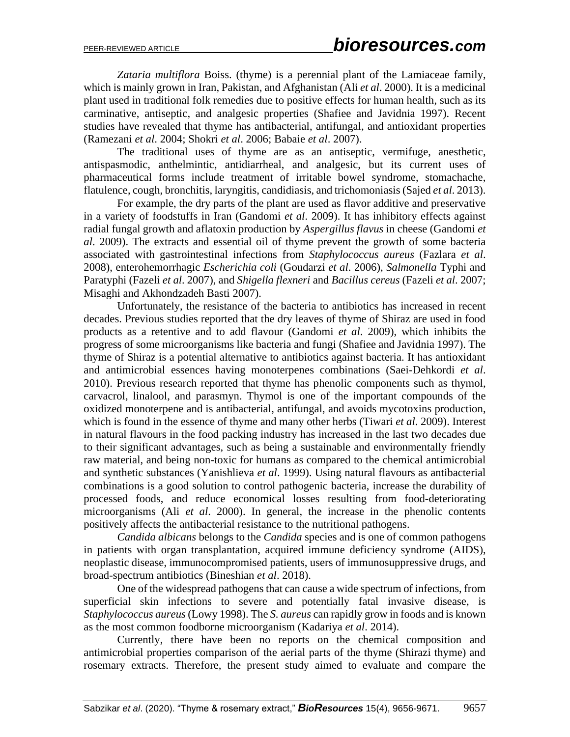*Zataria multiflora* Boiss. (thyme) is a perennial plant of the Lamiaceae family, which is mainly grown in Iran, Pakistan, and Afghanistan (Ali *et al*. 2000). It is a medicinal plant used in traditional folk remedies due to positive effects for human health, such as its carminative, antiseptic, and analgesic properties (Shafiee and Javidnia 1997). Recent studies have revealed that thyme has antibacterial, antifungal, and antioxidant properties (Ramezani *et al*. 2004; Shokri *et al*. 2006; Babaie *et al*. 2007).

The traditional uses of thyme are as an antiseptic, vermifuge, anesthetic, antispasmodic, anthelmintic, antidiarrheal, and analgesic, but its current uses of pharmaceutical forms include treatment of irritable bowel syndrome, stomachache, flatulence, cough, bronchitis, laryngitis, candidiasis, and trichomoniasis (Sajed *et al*. 2013).

For example, the dry parts of the plant are used as flavor additive and preservative in a variety of foodstuffs in Iran (Gandomi *et al*. 2009). It has inhibitory effects against radial fungal growth and aflatoxin production by *Aspergillus flavus* in cheese (Gandomi *et al*. 2009). The extracts and essential oil of thyme prevent the growth of some bacteria associated with gastrointestinal infections from *Staphylococcus aureus* (Fazlara *et al*. 2008), enterohemorrhagic *Escherichia coli* (Goudarzi *et al*. 2006), *Salmonella* Typhi and Paratyphi (Fazeli *et al*. 2007), and *Shigella flexneri* and *Bacillus cereus* (Fazeli *et al*. 2007; Misaghi and Akhondzadeh Basti 2007).

Unfortunately, the resistance of the bacteria to antibiotics has increased in recent decades. Previous studies reported that the dry leaves of thyme of Shiraz are used in food products as a retentive and to add flavour (Gandomi *et al*. 2009), which inhibits the progress of some microorganisms like bacteria and fungi (Shafiee and Javidnia 1997). The thyme of Shiraz is a potential alternative to antibiotics against bacteria. It has antioxidant and antimicrobial essences having monoterpenes combinations (Saei-Dehkordi *et al*. 2010). Previous research reported that thyme has phenolic components such as thymol, carvacrol, linalool, and parasmyn. Thymol is one of the important compounds of the oxidized monoterpene and is antibacterial, antifungal, and avoids mycotoxins production, which is found in the essence of thyme and many other herbs (Tiwari *et al*. 2009). Interest in natural flavours in the food packing industry has increased in the last two decades due to their significant advantages, such as being a sustainable and environmentally friendly raw material, and being non-toxic for humans as compared to the chemical antimicrobial and synthetic substances (Yanishlieva *et al*. 1999). Using natural flavours as antibacterial combinations is a good solution to control pathogenic bacteria, increase the durability of processed foods, and reduce economical losses resulting from food-deteriorating microorganisms (Ali *et al*. 2000). In general, the increase in the phenolic contents positively affects the antibacterial resistance to the nutritional pathogens.

*Candida albicans* belongs to the *Candida* species and is one of common pathogens in patients with organ transplantation, acquired immune deficiency syndrome (AIDS), neoplastic disease, immunocompromised patients, users of immunosuppressive drugs, and broad-spectrum antibiotics (Bineshian *et al*. 2018).

One of the widespread pathogens that can cause a wide spectrum of infections, from superficial skin infections to severe and potentially fatal invasive disease, is *Staphylococcus aureus* (Lowy 1998). The *S. aureus* can rapidly grow in foods and is known as the most common foodborne microorganism (Kadariya *et al*. 2014).

Currently, there have been no reports on the chemical composition and antimicrobial properties comparison of the aerial parts of the thyme (Shirazi thyme) and rosemary extracts. Therefore, the present study aimed to evaluate and compare the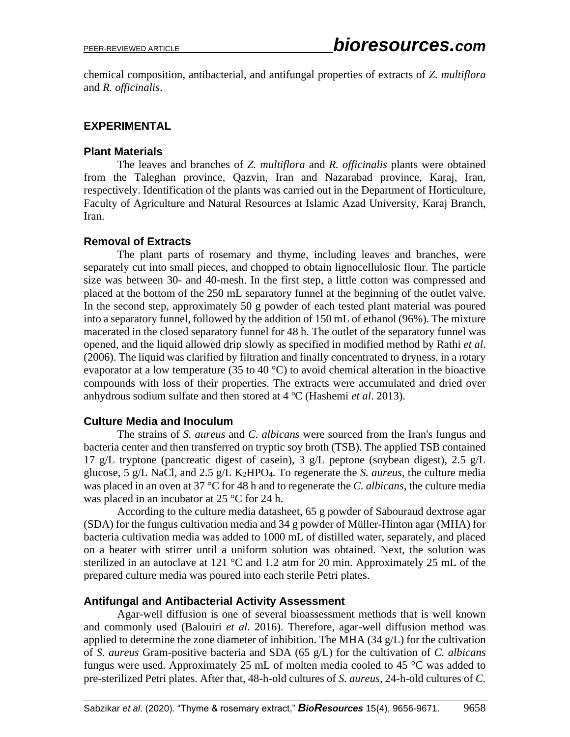chemical composition, antibacterial, and antifungal properties of extracts of *Z. multiflora* and *R. officinalis*.

### **EXPERIMENTAL**

#### **Plant Materials**

The leaves and branches of *Z. multiflora* and *R. officinalis* plants were obtained from the Taleghan province, Qazvin, Iran and Nazarabad province, Karaj, Iran, respectively. Identification of the plants was carried out in the Department of Horticulture, Faculty of Agriculture and Natural Resources at Islamic Azad University, Karaj Branch, Iran.

## **Removal of Extracts**

The plant parts of rosemary and thyme, including leaves and branches, were separately cut into small pieces, and chopped to obtain lignocellulosic flour. The particle size was between 30- and 40-mesh. In the first step, a little cotton was compressed and placed at the bottom of the 250 mL separatory funnel at the beginning of the outlet valve. In the second step, approximately 50 g powder of each tested plant material was poured into a separatory funnel, followed by the addition of 150 mL of ethanol (96%). The mixture macerated in the closed separatory funnel for 48 h. The outlet of the separatory funnel was opened, and the liquid allowed drip slowly as specified in modified method by Rathi *et al*. (2006). The liquid was clarified by filtration and finally concentrated to dryness, in a rotary evaporator at a low temperature (35 to 40  $^{\circ}$ C) to avoid chemical alteration in the bioactive compounds with loss of their properties. The extracts were accumulated and dried over anhydrous sodium sulfate and then stored at 4 ºC (Hashemi *et al*. 2013).

### **Culture Media and Inoculum**

The strains of *S. aureus* and *C. albicans* were sourced from the Iran's fungus and bacteria center and then transferred on tryptic soy broth (TSB). The applied TSB contained 17 g/L tryptone (pancreatic digest of casein), 3 g/L peptone (soybean digest), 2.5 g/L glucose, 5 g/L NaCl, and 2.5 g/L K2HPO4. To regenerate the *S. aureus*, the culture media was placed in an oven at 37 °C for 48 h and to regenerate the *C. albicans*, the culture media was placed in an incubator at 25 °C for 24 h.

According to the culture media datasheet, 65 g powder of Sabouraud dextrose agar (SDA) for the fungus cultivation media and 34 g powder of Müller-Hinton agar (MHA) for bacteria cultivation media was added to 1000 mL of distilled water, separately, and placed on a heater with stirrer until a uniform solution was obtained. Next, the solution was sterilized in an autoclave at 121 °C and 1.2 atm for 20 min. Approximately 25 mL of the prepared culture media was poured into each sterile Petri plates.

### **Antifungal and Antibacterial Activity Assessment**

Agar-well diffusion is one of several bioassessment methods that is well known and commonly used (Balouiri *et al*. 2016). Therefore, agar-well diffusion method was applied to determine the zone diameter of inhibition. The MHA  $(34 \text{ g/L})$  for the cultivation of *S. aureus* Gram-positive bacteria and SDA (65 g/L) for the cultivation of *C. albicans* fungus were used. Approximately 25 mL of molten media cooled to 45  $\degree$ C was added to pre-sterilized Petri plates. After that, 48-h-old cultures of *S. aureus*, 24-h-old cultures of *C.*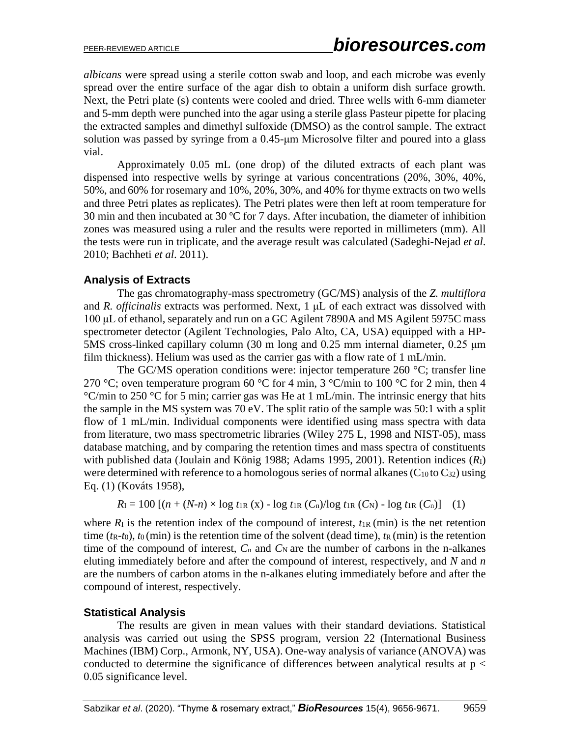*albicans* were spread using a sterile cotton swab and loop, and each microbe was evenly spread over the entire surface of the agar dish to obtain a uniform dish surface growth. Next, the Petri plate (s) contents were cooled and dried. Three wells with 6-mm diameter and 5-mm depth were punched into the agar using a sterile glass Pasteur pipette for placing the extracted samples and dimethyl sulfoxide (DMSO) as the control sample. The extract solution was passed by syringe from a 0.45-μm Microsolve filter and poured into a glass vial.

Approximately 0.05 mL (one drop) of the diluted extracts of each plant was dispensed into respective wells by syringe at various concentrations (20%, 30%, 40%, 50%, and 60% for rosemary and 10%, 20%, 30%, and 40% for thyme extracts on two wells and three Petri plates as replicates). The Petri plates were then left at room temperature for 30 min and then incubated at 30 ºC for 7 days. After incubation, the diameter of inhibition zones was measured using a ruler and the results were reported in millimeters (mm). All the tests were run in triplicate, and the average result was calculated (Sadeghi-Nejad *et al*. 2010; Bachheti *et al*. 2011).

### **Analysis of Extracts**

The gas chromatography-mass spectrometry (GC/MS) analysis of the *Z. multiflora* and *R. officinalis* extracts was performed. Next, 1 μL of each extract was dissolved with 100 μL of ethanol, separately and run on a GC Agilent 7890A and MS Agilent 5975C mass spectrometer detector (Agilent Technologies, Palo Alto, CA, USA) equipped with a HP-5MS cross-linked capillary column (30 m long and 0.25 mm internal diameter, 0.25 μm film thickness). Helium was used as the carrier gas with a flow rate of 1 mL/min.

The GC/MS operation conditions were: injector temperature 260 °C; transfer line 270 °C; oven temperature program 60 °C for 4 min, 3 °C/min to 100 °C for 2 min, then 4 °C/min to 250 °C for 5 min; carrier gas was He at 1 mL/min. The intrinsic energy that hits the sample in the MS system was 70 eV. The split ratio of the sample was 50:1 with a split flow of 1 mL/min. Individual components were identified using mass spectra with data from literature, two mass spectrometric libraries (Wiley 275 L, 1998 and NIST-05), mass database matching, and by comparing the retention times and mass spectra of constituents with published data (Joulain and König 1988; Adams 1995, 2001). Retention indices (*R*I) were determined with reference to a homologous series of normal alkanes  $(C_{10}$  to  $C_{32})$  using Eq. (1) (Kováts 1958),

$$
R_{\rm I} = 100 [(n + (N-n) \times \log t_{\rm IR} (x) - \log t_{\rm IR} (C_{\rm n}) / \log t_{\rm IR} (C_{\rm N}) - \log t_{\rm IR} (C_{\rm n})]
$$
 (1)

where  $R_1$  is the retention index of the compound of interest,  $t_{IR}$  (min) is the net retention time  $(t_R-t_0)$ ,  $t_0$  (min) is the retention time of the solvent (dead time),  $t_R$  (min) is the retention time of the compound of interest,  $C_n$  and  $C_N$  are the number of carbons in the n-alkanes eluting immediately before and after the compound of interest, respectively, and *N* and *n* are the numbers of carbon atoms in the n-alkanes eluting immediately before and after the compound of interest, respectively.

### **Statistical Analysis**

The results are given in mean values with their standard deviations. Statistical analysis was carried out using the SPSS program, version 22 (International Business Machines (IBM) Corp., Armonk, NY, USA). One-way analysis of variance (ANOVA) was conducted to determine the significance of differences between analytical results at  $p <$ 0.05 significance level.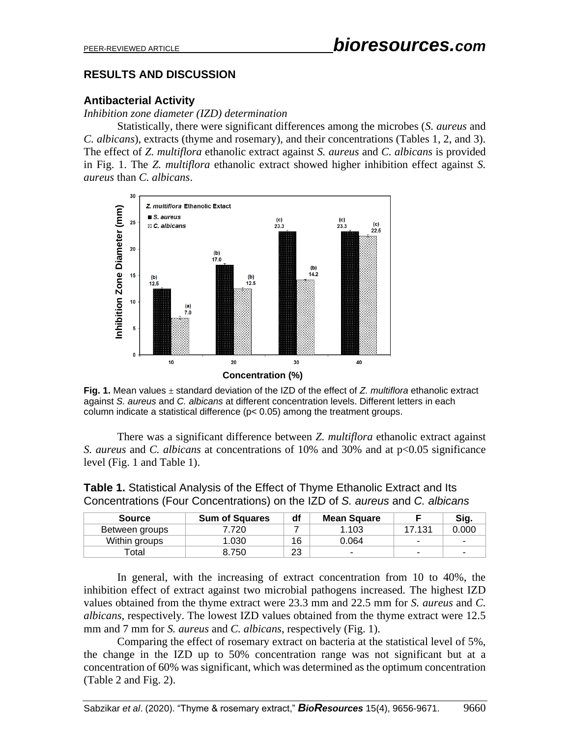## **RESULTS AND DISCUSSION**

## **Antibacterial Activity**

*Inhibition zone diameter (IZD) determination*

Statistically, there were significant differences among the microbes (*S. aureus* and *C. albicans*), extracts (thyme and rosemary), and their concentrations (Tables 1, 2, and 3). The effect of *Z. multiflora* ethanolic extract against *S. aureus* and *C. albicans* is provided in Fig. 1. The *Z. multiflora* ethanolic extract showed higher inhibition effect against *S. aureus* than *C. albicans*.



**Fig. 1.** Mean values ± standard deviation of the IZD of the effect of *Z. multiflora* ethanolic extract against *S. aureus* and *C. albicans* at different concentration levels. Different letters in each column indicate a statistical difference (p< 0.05) among the treatment groups.

There was a significant difference between *Z. multiflora* ethanolic extract against *S. aureus* and *C. albicans* at concentrations of 10% and 30% and at p<0.05 significance level (Fig. 1 and Table 1).

| <b>Source</b>  | <b>Sum of Squares</b> | df | <b>Mean Square</b> |                          | Sig.  |
|----------------|-----------------------|----|--------------------|--------------------------|-------|
| Between groups | 720                   |    | .103               | 17.131                   | 0.000 |
| Within groups  | .030                  | 16 | 0.064              | $\overline{\phantom{a}}$ |       |
| ™otal          | 8.750                 | 23 | -                  | $\overline{\phantom{a}}$ |       |

**Table 1.** Statistical Analysis of the Effect of Thyme Ethanolic Extract and Its Concentrations (Four Concentrations) on the IZD of *S. aureus* and *C. albicans*

In general, with the increasing of extract concentration from 10 to 40%, the inhibition effect of extract against two microbial pathogens increased. The highest IZD values obtained from the thyme extract were 23.3 mm and 22.5 mm for *S. aureus* and *C. albicans*, respectively. The lowest IZD values obtained from the thyme extract were 12.5 mm and 7 mm for *S. aureus* and *C. albicans*, respectively (Fig. 1).

Comparing the effect of rosemary extract on bacteria at the statistical level of 5%, the change in the IZD up to 50% concentration range was not significant but at a concentration of 60% was significant, which was determined as the optimum concentration (Table 2 and Fig. 2).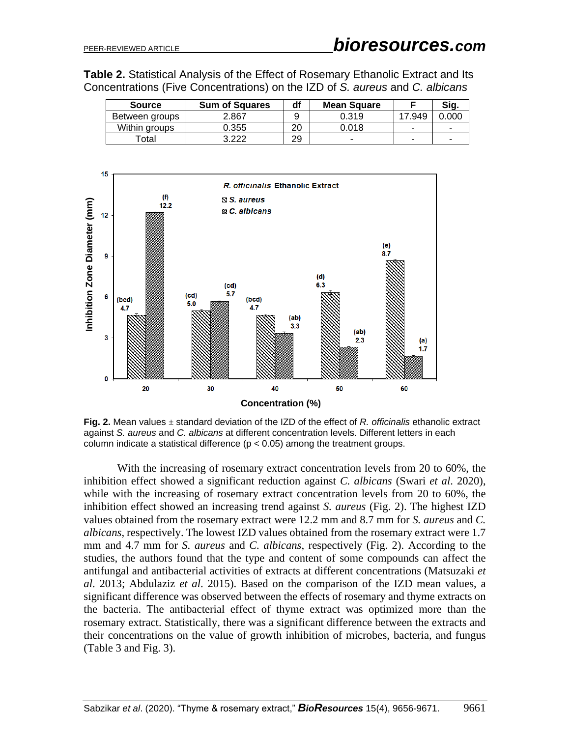**Table 2.** Statistical Analysis of the Effect of Rosemary Ethanolic Extract and Its Concentrations (Five Concentrations) on the IZD of *S. aureus* and *C. albicans*

| <b>Source</b>  | <b>Sum of Squares</b> | df | <b>Mean Square</b> |      | Sig.                     |
|----------------|-----------------------|----|--------------------|------|--------------------------|
| Between groups | 2.867                 |    | 0.319              | .949 | 000                      |
| Within groups  | 0.355                 |    | 0.018              |      | $\overline{\phantom{a}}$ |
| ັotal ⊺        | ררר כ                 | 29 | -                  | -    | -                        |



**Fig. 2.** Mean values ± standard deviation of the IZD of the effect of *R. officinalis* ethanolic extract against *S. aureus* and *C. albicans* at different concentration levels. Different letters in each column indicate a statistical difference  $(p < 0.05)$  among the treatment groups.

With the increasing of rosemary extract concentration levels from 20 to 60%, the inhibition effect showed a significant reduction against *C. albicans* (Swari *et al*. 2020), while with the increasing of rosemary extract concentration levels from 20 to 60%, the inhibition effect showed an increasing trend against *S. aureus* (Fig. 2). The highest IZD values obtained from the rosemary extract were 12.2 mm and 8.7 mm for *S. aureus* and *C. albicans*, respectively. The lowest IZD values obtained from the rosemary extract were 1.7 mm and 4.7 mm for *S. aureus* and *C. albicans*, respectively (Fig. 2). According to the studies, the authors found that the type and content of some compounds can affect the antifungal and antibacterial activities of extracts at different concentrations (Matsuzaki *et al*. 2013; Abdulaziz *et al*. 2015). Based on the comparison of the IZD mean values, a significant difference was observed between the effects of rosemary and thyme extracts on the bacteria. The antibacterial effect of thyme extract was optimized more than the rosemary extract. Statistically, there was a significant difference between the extracts and their concentrations on the value of growth inhibition of microbes, bacteria, and fungus (Table 3 and Fig. 3).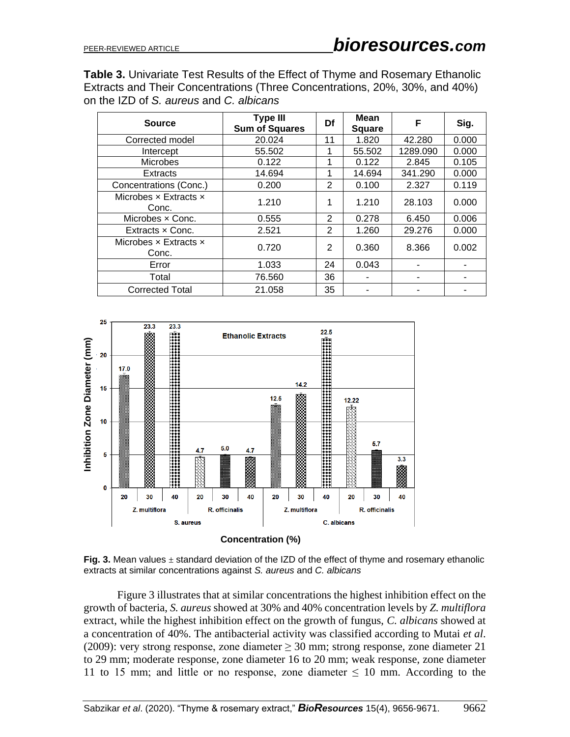**Table 3.** Univariate Test Results of the Effect of Thyme and Rosemary Ethanolic Extracts and Their Concentrations (Three Concentrations, 20%, 30%, and 40%) on the IZD of *S. aureus* and *C. albicans*

| <b>Source</b>                                | <b>Type III</b><br><b>Sum of Squares</b> | Df | <b>Mean</b><br><b>Square</b> | F        | Sig.  |
|----------------------------------------------|------------------------------------------|----|------------------------------|----------|-------|
| Corrected model                              | 20.024                                   | 11 | 1.820                        | 42.280   | 0.000 |
| Intercept                                    | 55.502                                   |    | 55.502                       | 1289.090 | 0.000 |
| <b>Microbes</b>                              | 0.122                                    | 1  | 0.122                        | 2.845    | 0.105 |
| <b>Extracts</b>                              | 14.694                                   | 1  | 14.694                       | 341.290  | 0.000 |
| Concentrations (Conc.)                       | 0.200                                    | 2  | 0.100                        | 2.327    | 0.119 |
| Microbes $\times$ Extracts $\times$<br>Conc. | 1.210                                    | 1  | 1.210                        | 28.103   | 0.000 |
| Microbes x Conc.                             | 0.555                                    | 2  | 0.278                        | 6.450    | 0.006 |
| Extracts x Conc.                             | 2.521                                    | 2  | 1.260                        | 29.276   | 0.000 |
| Microbes $\times$ Extracts $\times$<br>Conc. | 0.720                                    | 2  | 0.360                        | 8.366    | 0.002 |
| Error                                        | 1.033                                    | 24 | 0.043                        |          |       |
| Total                                        | 76.560                                   | 36 |                              |          |       |
| <b>Corrected Total</b>                       | 21.058                                   | 35 |                              |          |       |





Figure 3 illustrates that at similar concentrations the highest inhibition effect on the growth of bacteria, *S. aureus* showed at 30% and 40% concentration levels by *Z. multiflora* extract, while the highest inhibition effect on the growth of fungus, *C. albicans* showed at a concentration of 40%. The antibacterial activity was classified according to Mutai *et al*. (2009): very strong response, zone diameter  $\geq 30$  mm; strong response, zone diameter 21 to 29 mm; moderate response, zone diameter 16 to 20 mm; weak response, zone diameter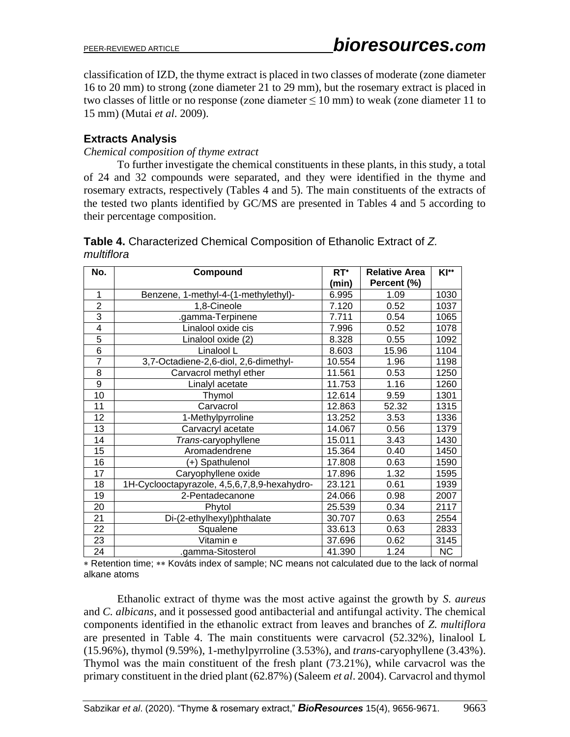classification of IZD, the thyme extract is placed in two classes of moderate (zone diameter 16 to 20 mm) to strong (zone diameter 21 to 29 mm), but the rosemary extract is placed in two classes of little or no response (zone diameter  $\leq 10$  mm) to weak (zone diameter 11 to 15 mm) (Mutai *et al*. 2009).

## **Extracts Analysis**

*Chemical composition of thyme extract*

To further investigate the chemical constituents in these plants, in this study, a total of 24 and 32 compounds were separated, and they were identified in the thyme and rosemary extracts, respectively (Tables 4 and 5). The main constituents of the extracts of the tested two plants identified by GC/MS are presented in Tables 4 and 5 according to their percentage composition.

| No.            | Compound                                     | $RT^*$ | <b>Relative Area</b> | <b>KI**</b> |
|----------------|----------------------------------------------|--------|----------------------|-------------|
|                |                                              | (min)  | Percent (%)          |             |
| 1              | Benzene, 1-methyl-4-(1-methylethyl)-         | 6.995  | 1.09                 | 1030        |
| $\overline{2}$ | 1,8-Cineole                                  | 7.120  | 0.52                 | 1037        |
| $\overline{3}$ | .gamma-Terpinene                             | 7.711  | 0.54                 | 1065        |
| 4              | Linalool oxide cis                           | 7.996  | 0.52                 | 1078        |
| 5              | Linalool oxide (2)                           | 8.328  | 0.55                 | 1092        |
| 6              | Linalool L                                   | 8.603  | 15.96                | 1104        |
| $\overline{7}$ | 3,7-Octadiene-2,6-diol, 2,6-dimethyl-        | 10.554 | 1.96                 | 1198        |
| 8              | Carvacrol methyl ether                       | 11.561 | 0.53                 | 1250        |
| 9              | Linalyl acetate                              | 11.753 | 1.16                 | 1260        |
| 10             | Thymol                                       | 12.614 | 9.59                 | 1301        |
| 11             | Carvacrol                                    | 12.863 | 52.32                | 1315        |
| 12             | 1-Methylpyrroline                            | 13.252 | 3.53                 | 1336        |
| 13             | Carvacryl acetate                            | 14.067 | 0.56                 | 1379        |
| 14             | Trans-caryophyllene                          | 15.011 | 3.43                 | 1430        |
| 15             | Aromadendrene                                | 15.364 | 0.40                 | 1450        |
| 16             | (+) Spathulenol                              | 17.808 | 0.63                 | 1590        |
| 17             | Caryophyllene oxide                          | 17.896 | 1.32                 | 1595        |
| 18             | 1H-Cyclooctapyrazole, 4,5,6,7,8,9-hexahydro- | 23.121 | 0.61                 | 1939        |
| 19             | 2-Pentadecanone                              | 24.066 | 0.98                 | 2007        |
| 20             | Phytol                                       | 25.539 | 0.34                 | 2117        |
| 21             | Di-(2-ethylhexyl)phthalate                   | 30.707 | 0.63                 | 2554        |
| 22             | Squalene                                     | 33.613 | 0.63                 | 2833        |
| 23             | Vitamin e                                    | 37.696 | 0.62                 | 3145        |
| 24             | .gamma-Sitosterol                            | 41.390 | 1.24                 | <b>NC</b>   |

**Table 4.** Characterized Chemical Composition of Ethanolic Extract of *Z. multiflora*

\* Retention time; \*\* Kováts index of sample; NC means not calculated due to the lack of normal alkane atoms

Ethanolic extract of thyme was the most active against the growth by *S. aureus* and *C. albicans*, and it possessed good antibacterial and antifungal activity. The chemical components identified in the ethanolic extract from leaves and branches of *Z. multiflora*  are presented in Table 4. The main constituents were carvacrol (52.32%), linalool L (15.96%), thymol (9.59%), 1-methylpyrroline (3.53%), and *trans*-caryophyllene (3.43%). Thymol was the main constituent of the fresh plant (73.21%), while carvacrol was the primary constituent in the dried plant (62.87%) (Saleem *et al*. 2004). Carvacrol and thymol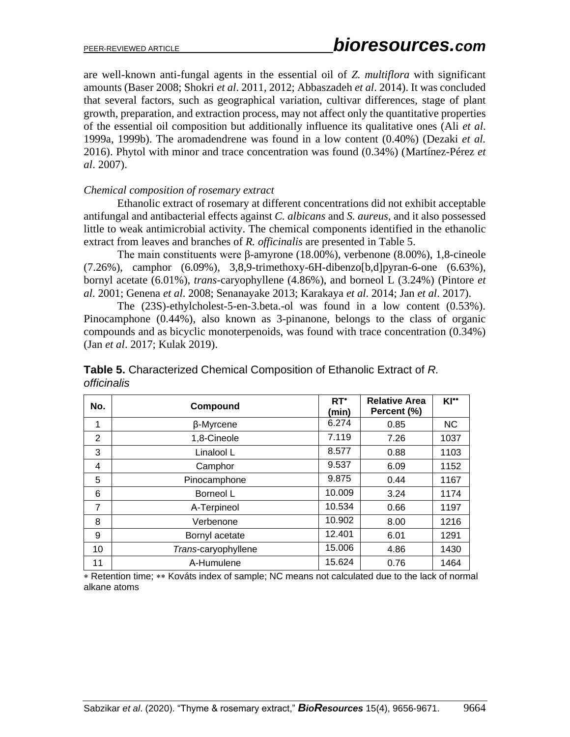are well-known anti-fungal agents in the essential oil of *Z. multiflora* with significant amounts (Baser 2008; Shokri *et al*. 2011, 2012; Abbaszadeh *et al*. 2014). It was concluded that several factors, such as geographical variation, cultivar differences, stage of plant growth, preparation, and extraction process, may not affect only the quantitative properties of the essential oil composition but additionally influence its qualitative ones (Ali *et al*. 1999a, 1999b). The aromadendrene was found in a low content (0.40%) (Dezaki *et al.* 2016). Phytol with minor and trace concentration was found (0.34%) (Martínez-Pérez *et al*. 2007).

#### *Chemical composition of rosemary extract*

Ethanolic extract of rosemary at different concentrations did not exhibit acceptable antifungal and antibacterial effects against *C. albicans* and *S. aureus*, and it also possessed little to weak antimicrobial activity. The chemical components identified in the ethanolic extract from leaves and branches of *R. officinalis* are presented in Table 5.

The main constituents were β-amyrone (18.00%), verbenone (8.00%), 1,8-cineole  $(7.26\%)$ , camphor  $(6.09\%)$ , 3,8,9-trimethoxy-6H-dibenzo[b,d]pyran-6-one  $(6.63\%)$ , bornyl acetate (6.01%), *trans*-caryophyllene (4.86%), and borneol L (3.24%) (Pintore *et al*. 2001; Genena *et al*. 2008; Senanayake 2013; Karakaya *et al*. 2014; Jan *et al*. 2017).

The (23S)-ethylcholest-5-en-3.beta.-ol was found in a low content (0.53%). Pinocamphone (0.44%), also known as 3-pinanone, belongs to the class of organic compounds and as bicyclic monoterpenoids, was found with trace concentration (0.34%) (Jan *et al*. 2017; Kulak 2019).

| <i><u><b>OIIICINAIS</b></u></i> |              |                 |                                     |        |  |  |
|---------------------------------|--------------|-----------------|-------------------------------------|--------|--|--|
| No.                             | Compound     | $RT^*$<br>(min) | <b>Relative Area</b><br>Percent (%) | $KI^*$ |  |  |
|                                 | β-Myrcene    | 6.274           | 0.85                                | NC.    |  |  |
| 2                               | 1,8-Cineole  | 7.119           | 7.26                                | 1037   |  |  |
| 3                               | Linalool L   | 8.577           | 0.88                                | 1103   |  |  |
| 4                               | Camphor      | 9.537           | 6.09                                | 1152   |  |  |
| 5                               | Pinocamphone | 9.875           | 0.44                                | 1167   |  |  |

6 Borneol L 10.009 3.24 1174 7 Α-Terpineol 10.534 0.66 1197 8 Verbenone 10.902 8.00 1216 9 Bornyl acetate 12.401 6.01 1291 10 **Trans-caryophyllene** 15.006 4.86 1430 11 | A-Humulene | 15.624 | 0.76 | 1464

**Table 5.** Characterized Chemical Composition of Ethanolic Extract of *R. officinalis*

\* Retention time; \*\* Kováts index of sample; NC means not calculated due to the lack of normal alkane atoms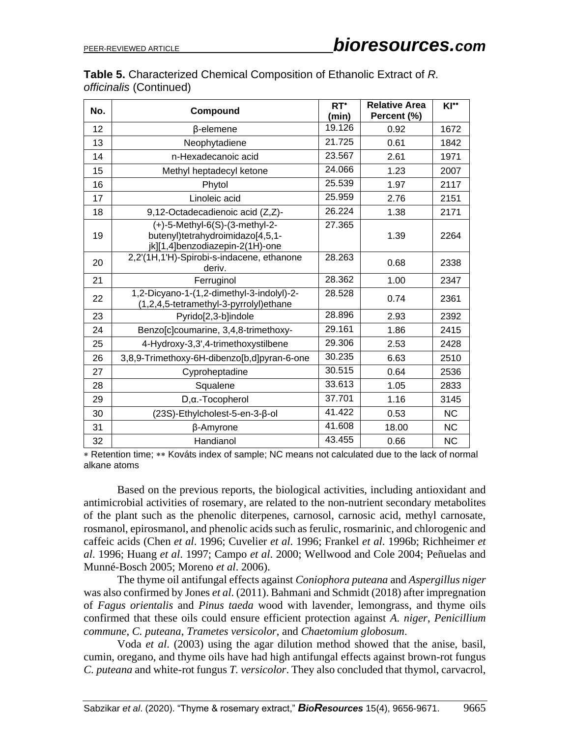| <b>Table 5.</b> Characterized Chemical Composition of Ethanolic Extract of R. |  |
|-------------------------------------------------------------------------------|--|
| <i>officinalis</i> (Continued)                                                |  |

| No. | Compound                                                                                              | $RT^*$<br>(min) | <b>Relative Area</b><br>Percent (%) | KI**      |
|-----|-------------------------------------------------------------------------------------------------------|-----------------|-------------------------------------|-----------|
| 12  | β-elemene                                                                                             | 19.126          | 0.92                                | 1672      |
| 13  | Neophytadiene                                                                                         | 21.725          | 0.61                                | 1842      |
| 14  | n-Hexadecanoic acid                                                                                   | 23.567          | 2.61                                | 1971      |
| 15  | Methyl heptadecyl ketone                                                                              | 24.066          | 1.23                                | 2007      |
| 16  | Phytol                                                                                                | 25.539          | 1.97                                | 2117      |
| 17  | Linoleic acid                                                                                         | 25.959          | 2.76                                | 2151      |
| 18  | 9,12-Octadecadienoic acid (Z,Z)-                                                                      | 26.224          | 1.38                                | 2171      |
| 19  | (+)-5-Methyl-6(S)-(3-methyl-2-<br>butenyl)tetrahydroimidazo[4,5,1-<br>jk][1,4]benzodiazepin-2(1H)-one | 27.365          | 1.39                                | 2264      |
| 20  | 2,2'(1H,1'H)-Spirobi-s-indacene, ethanone<br>deriv.                                                   | 28.263          | 0.68                                | 2338      |
| 21  | Ferruginol                                                                                            | 28.362          | 1.00                                | 2347      |
| 22  | 1,2-Dicyano-1-(1,2-dimethyl-3-indolyl)-2-<br>(1,2,4,5-tetramethyl-3-pyrrolyl)ethane                   | 28.528          | 0.74                                | 2361      |
| 23  | Pyrido[2,3-b]indole                                                                                   | 28.896          | 2.93                                | 2392      |
| 24  | Benzo[c]coumarine, 3,4,8-trimethoxy-                                                                  | 29.161          | 1.86                                | 2415      |
| 25  | 4-Hydroxy-3,3',4-trimethoxystilbene                                                                   | 29.306          | 2.53                                | 2428      |
| 26  | 3,8,9-Trimethoxy-6H-dibenzo[b,d]pyran-6-one                                                           | 30.235          | 6.63                                | 2510      |
| 27  | Cyproheptadine                                                                                        | 30.515          | 0.64                                | 2536      |
| 28  | Squalene                                                                                              | 33.613          | 1.05                                | 2833      |
| 29  | $D, \alpha$ .-Tocopherol                                                                              | 37.701          | 1.16                                | 3145      |
| 30  | (23S)-Ethylcholest-5-en-3-β-ol                                                                        | 41.422          | 0.53                                | <b>NC</b> |
| 31  | β-Amyrone                                                                                             | 41.608          | 18.00                               | <b>NC</b> |
| 32  | Handianol                                                                                             | 43.455          | 0.66                                | <b>NC</b> |

\* Retention time; \*\* Kováts index of sample; NC means not calculated due to the lack of normal alkane atoms

Based on the previous reports, the biological activities, including antioxidant and antimicrobial activities of rosemary, are related to the non-nutrient secondary metabolites of the plant such as the phenolic diterpenes, carnosol, carnosic acid, methyl carnosate, rosmanol, epirosmanol, and phenolic acids such as ferulic, rosmarinic, and chlorogenic and caffeic acids (Chen *et al*. 1996; Cuvelier *et al*. 1996; Frankel *et al*. 1996b; Richheimer *et al*. 1996; Huang *et al*. 1997; Campo *et al*. 2000; Wellwood and Cole 2004; Peñuelas and Munné-Bosch 2005; Moreno *et al*. 2006).

The thyme oil antifungal effects against *Coniophora puteana* and *Aspergillus niger* was also confirmed by Jones *et al*. (2011). Bahmani and Schmidt (2018) after impregnation of *Fagus orientalis* and *Pinus taeda* wood with lavender, lemongrass, and thyme oils confirmed that these oils could ensure efficient protection against *A. niger*, *Penicillium commune*, *C. puteana*, *Trametes versicolor*, and *Chaetomium globosum*.

Voda *et al*. (2003) using the agar dilution method showed that the anise, basil, cumin, oregano, and thyme oils have had high antifungal effects against brown-rot fungus *C. puteana* and white-rot fungus *T. versicolor*. They also concluded that thymol, carvacrol,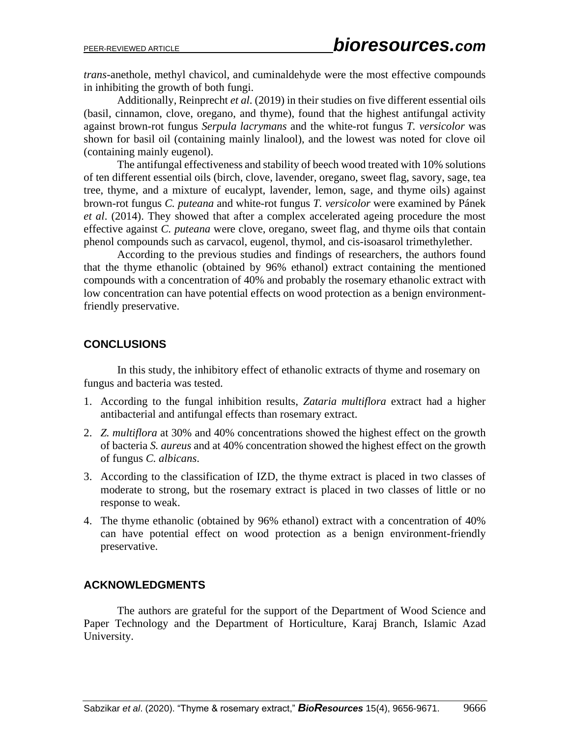*trans*-anethole, methyl chavicol, and cuminaldehyde were the most effective compounds in inhibiting the growth of both fungi.

Additionally, Reinprecht *et al*. (2019) in their studies on five different essential oils (basil, cinnamon, clove, oregano, and thyme), found that the highest antifungal activity against brown-rot fungus *Serpula lacrymans* and the white-rot fungus *T. versicolor* was shown for basil oil (containing mainly linalool), and the lowest was noted for clove oil (containing mainly eugenol).

The antifungal effectiveness and stability of beech wood treated with 10% solutions of ten different essential oils (birch, clove, lavender, oregano, sweet flag, savory, sage, tea tree, thyme, and a mixture of eucalypt, lavender, lemon, sage, and thyme oils) against brown-rot fungus *C. puteana* and white-rot fungus *T. versicolor* were examined by Pánek *et al*. (2014). They showed that after a complex accelerated ageing procedure the most effective against *C. puteana* were clove, oregano, sweet flag, and thyme oils that contain phenol compounds such as carvacol, eugenol, thymol, and cis-isoasarol trimethylether.

According to the previous studies and findings of researchers, the authors found that the thyme ethanolic (obtained by 96% ethanol) extract containing the mentioned compounds with a concentration of 40% and probably the rosemary ethanolic extract with low concentration can have potential effects on wood protection as a benign environmentfriendly preservative.

## **CONCLUSIONS**

In this study, the inhibitory effect of ethanolic extracts of thyme and rosemary on fungus and bacteria was tested.

- 1. According to the fungal inhibition results, *Zataria multiflora* extract had a higher antibacterial and antifungal effects than rosemary extract.
- 2. *Z. multiflora* at 30% and 40% concentrations showed the highest effect on the growth of bacteria *S. aureus* and at 40% concentration showed the highest effect on the growth of fungus *C. albicans*.
- 3. According to the classification of IZD, the thyme extract is placed in two classes of moderate to strong, but the rosemary extract is placed in two classes of little or no response to weak.
- 4. The thyme ethanolic (obtained by 96% ethanol) extract with a concentration of 40% can have potential effect on wood protection as a benign environment-friendly preservative.

### **ACKNOWLEDGMENTS**

The authors are grateful for the support of the Department of Wood Science and Paper Technology and the Department of Horticulture, Karaj Branch, Islamic Azad University.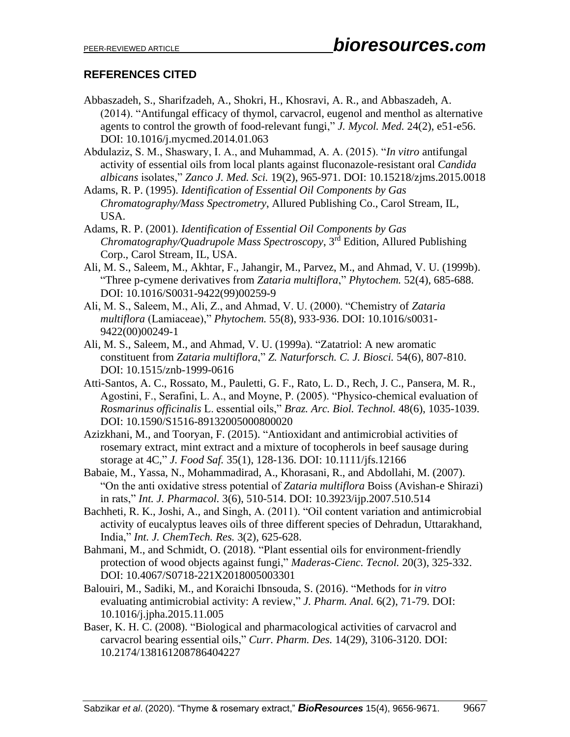## **REFERENCES CITED**

Abbaszadeh, S., Sharifzadeh, A., Shokri, H., Khosravi, A. R., and Abbaszadeh, A. (2014). "Antifungal efficacy of thymol, carvacrol, eugenol and menthol as alternative agents to control the growth of food-relevant fungi," *J. Mycol. Med.* 24(2), e51-e56. DOI: 10.1016/j.mycmed.2014.01.063

Abdulaziz, S. M., Shaswary, I. A., and Muhammad, A. A. (2015). "*In vitro* antifungal activity of essential oils from local plants against fluconazole-resistant oral *Candida albicans* isolates," *Zanco J. Med. Sci.* 19(2), 965-971. DOI: 10.15218/zjms.2015.0018

Adams, R. P. (1995). *Identification of Essential Oil Components by Gas Chromatography/Mass Spectrometry*, Allured Publishing Co., Carol Stream, IL, USA.

Adams, R. P. (2001). *Identification of Essential Oil Components by Gas Chromatography/Quadrupole Mass Spectroscopy*, 3 rd Edition, Allured Publishing Corp., Carol Stream, IL, USA.

- Ali, M. S., Saleem, M., Akhtar, F., Jahangir, M., Parvez, M., and Ahmad, V. U. (1999b). "Three p-cymene derivatives from *Zataria multiflora*," *Phytochem.* 52(4), 685-688. DOI: 10.1016/S0031-9422(99)00259-9
- Ali, M. S., Saleem, M., Ali, Z., and Ahmad, V. U. (2000). "Chemistry of *Zataria multiflora* (Lamiaceae)," *Phytochem.* 55(8), 933-936. DOI: 10.1016/s0031- 9422(00)00249-1
- Ali, M. S., Saleem, M., and Ahmad, V. U. (1999a). "Zatatriol: A new aromatic constituent from *Zataria multiflora*," *Z. Naturforsch. C. J. Biosci.* 54(6), 807-810. DOI: 10.1515/znb-1999-0616
- Atti-Santos, A. C., Rossato, M., Pauletti, G. F., Rato, L. D., Rech, J. C., Pansera, M. R., Agostini, F., Serafini, L. A., and Moyne, P. (2005). "Physico-chemical evaluation of *Rosmarinus officinalis* L. essential oils," *Braz. Arc. Biol. Technol.* 48(6), 1035-1039. DOI: 10.1590/S1516-89132005000800020
- Azizkhani, M., and Tooryan, F. (2015). "Antioxidant and antimicrobial activities of rosemary extract, mint extract and a mixture of tocopherols in beef sausage during storage at 4C," *J. Food Saf.* 35(1), 128-136. DOI: 10.1111/jfs.12166
- Babaie, M., Yassa, N., Mohammadirad, A., Khorasani, R., and Abdollahi, M. (2007). "On the anti oxidative stress potential of *Zataria multiflora* Boiss (Avishan-e Shirazi) in rats," *Int. J. Pharmacol.* 3(6), 510-514. DOI: 10.3923/ijp.2007.510.514
- Bachheti, R. K., Joshi, A., and Singh, A. (2011). "Oil content variation and antimicrobial activity of eucalyptus leaves oils of three different species of Dehradun, Uttarakhand, India," *Int. J. ChemTech. Res.* 3(2), 625-628.
- Bahmani, M., and Schmidt, O. (2018). "Plant essential oils for environment-friendly protection of wood objects against fungi," *Maderas-Cienc. Tecnol.* 20(3), 325-332. DOI: 10.4067/S0718-221X2018005003301
- Balouiri, M., Sadiki, M., and Koraichi Ibnsouda, S. (2016). "Methods for *in vitro* evaluating antimicrobial activity: A review," *J. Pharm. Anal.* 6(2), 71-79. DOI: 10.1016/j.jpha.2015.11.005
- Baser, K. H. C. (2008). "Biological and pharmacological activities of carvacrol and carvacrol bearing essential oils," *Curr. Pharm. Des.* 14(29), 3106-3120. DOI: 10.2174/138161208786404227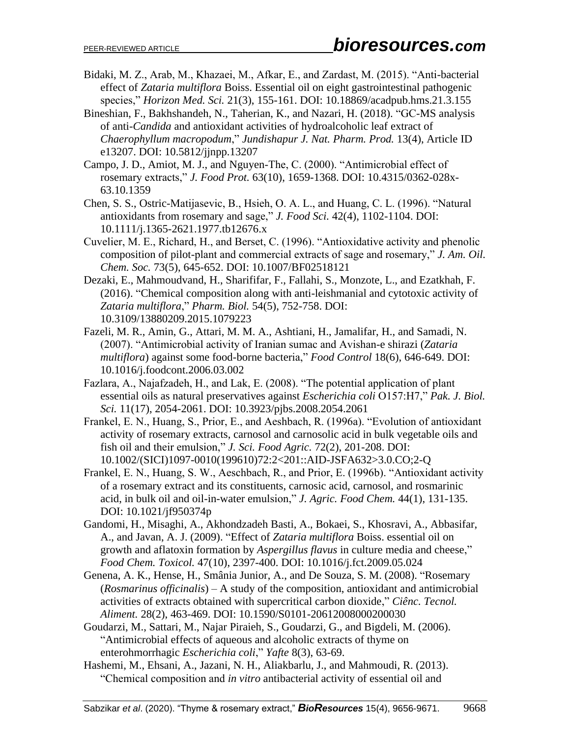- Bidaki, M. Z., Arab, M., Khazaei, M., Afkar, E., and Zardast, M. (2015). "Anti-bacterial effect of *Zataria multiflora* Boiss. Essential oil on eight gastrointestinal pathogenic species," *Horizon Med. Sci.* 21(3), 155-161. [DOI: 10.18869/acadpub.hms.21.3.155](http://dx.doi.org/10.18869/acadpub.hms.21.3.155)
- Bineshian, F., Bakhshandeh, N., Taherian, K., and Nazari, H. (2018). "GC-MS analysis of anti-*Candida* and antioxidant activities of hydroalcoholic leaf extract of *Chaerophyllum macropodum*," *Jundishapur J. Nat. Pharm. Prod.* 13(4), Article ID e13207. DOI: 10.5812/jjnpp.13207
- Campo, J. D., Amiot, M. J., and Nguyen-The, C. (2000). "Antimicrobial effect of rosemary extracts," *J. Food Prot.* 63(10), 1659-1368. DOI: 10.4315/0362-028x-63.10.1359
- Chen, S. S., Ostric-Matijasevic, B., Hsieh, O. A. L., and Huang, C. L. (1996). "Natural antioxidants from rosemary and sage," *J. Food Sci.* 42(4), 1102-1104. DOI: 10.1111/j.1365-2621.1977.tb12676.x
- Cuvelier, M. E., Richard, H., and Berset, C. (1996). "Antioxidative activity and phenolic composition of pilot-plant and commercial extracts of sage and rosemary," *J. Am. Oil. Chem. Soc.* 73(5), 645-652. DOI: 10.1007/BF02518121
- Dezaki, E., Mahmoudvand, H., Sharififar, F., Fallahi, S., Monzote, L., and Ezatkhah, F. (2016). "Chemical composition along with anti-leishmanial and cytotoxic activity of *Zataria multiflora*," *Pharm. Biol.* 54(5), 752-758. DOI: 10.3109/13880209.2015.1079223
- Fazeli, M. R., Amin, G., Attari, M. M. A., Ashtiani, H., Jamalifar, H., and Samadi, N. (2007). "Antimicrobial activity of Iranian sumac and Avishan-e shirazi (*Zataria multiflora*) against some food-borne bacteria," *Food Control* 18(6), 646-649. DOI: 10.1016/j.foodcont.2006.03.002
- Fazlara, A., Najafzadeh, H., and Lak, E. (2008). "The potential application of plant essential oils as natural preservatives against *Escherichia coli* O157:H7," *Pak. J. Biol. Sci.* 11(17), 2054-2061. DOI: 10.3923/pjbs.2008.2054.2061
- Frankel, E. N., Huang, S., Prior, E., and Aeshbach, R. (1996a). "Evolution of antioxidant activity of rosemary extracts, carnosol and carnosolic acid in bulk vegetable oils and fish oil and their emulsion," *J. Sci. Food Agric.* 72(2), 201-208. DOI: 10.1002/(SICI)1097-0010(199610)72:2<201::AID-JSFA632>3.0.CO;2-Q
- Frankel, E. N., Huang, S. W., Aeschbach, R., and Prior, E. (1996b). "Antioxidant activity of a rosemary extract and its constituents, carnosic acid, carnosol, and rosmarinic acid, in bulk oil and oil-in-water emulsion," *J. Agric. Food Chem.* 44(1), 131-135. DOI: 10.1021/jf950374p
- Gandomi, H., Misaghi, A., Akhondzadeh Basti, A., Bokaei, S., Khosravi, A., Abbasifar, A., and Javan, A. J. (2009). "Effect of *Zataria multiflora* Boiss. essential oil on growth and aflatoxin formation by *Aspergillus flavus* in culture media and cheese," *Food Chem. Toxicol.* 47(10), 2397-400. DOI: 10.1016/j.fct.2009.05.024
- Genena, A. K., Hense, H., Smânia Junior, A., and De Souza, S. M. (2008). "Rosemary (*Rosmarinus officinalis*) – A study of the composition, antioxidant and antimicrobial activities of extracts obtained with supercritical carbon dioxide," *Ciênc. Tecnol. Aliment.* 28(2), 463-469. DOI: 10.1590/S0101-20612008000200030
- Goudarzi, M., Sattari, M., Najar Piraieh, S., Goudarzi, G., and Bigdeli, M. (2006). "Antimicrobial effects of aqueous and alcoholic extracts of thyme on enterohmorrhagic *Escherichia coli*," *Yafte* 8(3), 63-69.
- Hashemi, M., Ehsani, A., Jazani, N. H., Aliakbarlu, J., and Mahmoudi, R. (2013). "Chemical composition and *in vitro* antibacterial activity of essential oil and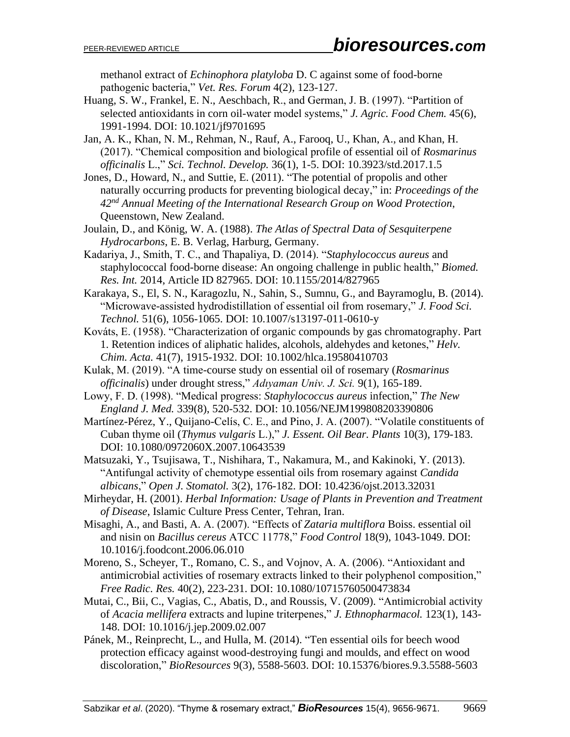methanol extract of *Echinophora platyloba* D. C against some of food-borne pathogenic bacteria," *Vet. Res. Forum* 4(2), 123-127.

- Huang, S. W., Frankel, E. N., Aeschbach, R., and German, J. B. (1997). "Partition of selected antioxidants in corn oil-water model systems," *J. Agric. Food Chem.* 45(6), 1991-1994. DOI: 10.1021/jf9701695
- Jan, A. K., Khan, N. M., Rehman, N., Rauf, A., Farooq, U., Khan, A., and Khan, H. (2017). "Chemical composition and biological profile of essential oil of *Rosmarinus officinalis* L.," *Sci. Technol. Develop.* 36(1), 1-5. DOI: 10.3923/std.2017.1.5
- Jones, D., Howard, N., and Suttie, E. (2011). "The potential of propolis and other naturally occurring products for preventing biological decay," in: *Proceedings of the 42nd Annual Meeting of the International Research Group on Wood Protection*, Queenstown, New Zealand.
- Joulain, D., and König, W. A. (1988). *The Atlas of Spectral Data of Sesquiterpene Hydrocarbons*, E. B. Verlag, Harburg, Germany.
- Kadariya, J., Smith, T. C., and Thapaliya, D. (2014). "*Staphylococcus aureus* and staphylococcal food-borne disease: An ongoing challenge in public health," *Biomed. Res. Int.* 2014, Article ID 827965. DOI: 10.1155/2014/827965
- Karakaya, S., El, S. N., Karagozlu, N., Sahin, S., Sumnu, G., and Bayramoglu, B. (2014). "Microwave-assisted hydrodistillation of essential oil from rosemary," *J. Food Sci. Technol.* 51(6), 1056-1065. DOI: 10.1007/s13197-011-0610-y
- Kováts, E. (1958). "Characterization of organic compounds by gas chromatography. Part 1. Retention indices of aliphatic halides, alcohols, aldehydes and ketones," *Helv. Chim. Acta.* 41(7), 1915-1932. DOI: 10.1002/hlca.19580410703
- Kulak, M. (2019). "A time-course study on essential oil of rosemary (*Rosmarinus officinalis*) under drought stress," *Adıyaman Univ. J. Sci.* 9(1), 165-189.
- Lowy, F. D. (1998). "Medical progress: *Staphylococcus aureus* infection," *The New England J. Med.* 339(8), 520-532. DOI: 10.1056/NEJM199808203390806
- Martínez-Pérez, Y., Quijano-Celís, C. E., and Pino, J. A. (2007). "Volatile constituents of Cuban thyme oil (*Thymus vulgaris* L.)," *J. Essent. Oil Bear. Plants* 10(3), 179-183. DOI: 10.1080/0972060X.2007.10643539
- Matsuzaki, Y., Tsujisawa, T., Nishihara, T., Nakamura, M., and Kakinoki, Y. (2013). "Antifungal activity of chemotype essential oils from rosemary against *Candida albicans*," *Open J. Stomatol.* 3(2), 176-182. DOI: 10.4236/ojst.2013.32031
- Mirheydar, H. (2001). *Herbal Information: Usage of Plants in Prevention and Treatment of Disease*, Islamic Culture Press Center, Tehran, Iran.
- Misaghi, A., and Basti, A. A. (2007). "Effects of *Zataria multiflora* Boiss. essential oil and nisin on *Bacillus cereus* ATCC 11778," *Food Control* 18(9), 1043-1049. DOI: 10.1016/j.foodcont.2006.06.010
- Moreno, S., Scheyer, T., Romano, C. S., and Vojnov, A. A. (2006). "Antioxidant and antimicrobial activities of rosemary extracts linked to their polyphenol composition," *Free Radic. Res.* 40(2), 223-231. DOI: 10.1080/10715760500473834
- Mutai, C., Bii, C., Vagias, C., Abatis, D., and Roussis, V. (2009). "Antimicrobial activity of *Acacia mellifera* extracts and lupine triterpenes," *J. Ethnopharmacol.* 123(1), 143- 148. DOI: 10.1016/j.jep.2009.02.007
- Pánek, M., Reinprecht, L., and Hulla, M. (2014). "Ten essential oils for beech wood protection efficacy against wood-destroying fungi and moulds, and effect on wood discoloration," *BioResources* 9(3), 5588-5603. DOI: 10.15376/biores.9.3.5588-5603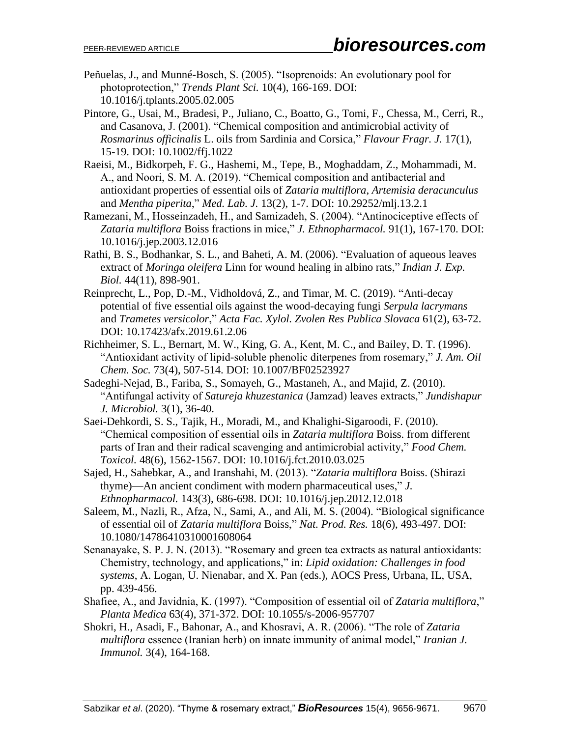- Peñuelas, J., and Munné-Bosch, S. (2005). "Isoprenoids: An evolutionary pool for photoprotection," *Trends Plant Sci.* 10(4), 166-169. DOI: 10.1016/j.tplants.2005.02.005
- Pintore, G., Usai, M., Bradesi, P., Juliano, C., Boatto, G., Tomi, F., Chessa, M., Cerri, R., and Casanova, J. (2001). "Chemical composition and antimicrobial activity of *Rosmarinus officinalis* L. oils from Sardinia and Corsica," *Flavour Fragr. J.* 17(1), 15-19. DOI: 10.1002/ffj.1022
- Raeisi, M., Bidkorpeh, F. G., Hashemi, M., Tepe, B., Moghaddam, Z., Mohammadi, M. A., and Noori, S. M. A. (2019). "Chemical composition and antibacterial and antioxidant properties of essential oils of *Zataria multiflora*, *Artemisia deracunculus* and *Mentha piperita*," *Med. Lab. J.* 13(2), 1-7. DOI: 10.29252/mlj.13.2.1
- Ramezani, M., Hosseinzadeh, H., and Samizadeh, S. (2004). "Antinociceptive effects of *Zataria multiflora* Boiss fractions in mice," *J. Ethnopharmacol.* 91(1), 167-170. DOI: 10.1016/j.jep.2003.12.016
- Rathi, B. S., Bodhankar, S. L., and Baheti, A. M. (2006). "Evaluation of aqueous leaves extract of *Moringa oleifera* Linn for wound healing in albino rats," *Indian J. Exp. Biol.* 44(11), 898-901.
- Reinprecht, L., Pop, D.-M., Vidholdová, Z., and Timar, M. C. (2019). "Anti-decay potential of five essential oils against the wood-decaying fungi *Serpula lacrymans* and *Trametes versicolor*," *Acta Fac. Xylol. Zvolen Res Publica Slovaca* 61(2), 63-72. DOI: 10.17423/afx.2019.61.2.06
- Richheimer, S. L., Bernart, M. W., King, G. A., Kent, M. C., and Bailey, D. T. (1996). "Antioxidant activity of lipid-soluble phenolic diterpenes from rosemary," *J. Am. Oil Chem. Soc.* 73(4), 507-514. DOI: 10.1007/BF02523927
- Sadeghi-Nejad, B., Fariba, S., Somayeh, G., Mastaneh, A., and Majid, Z. (2010). "Antifungal activity of *Satureja khuzestanica* (Jamzad) leaves extracts," *Jundishapur J. Microbiol.* 3(1), 36-40.
- Saei-Dehkordi, S. S., Tajik, H., Moradi, M., and Khalighi-Sigaroodi, F. (2010). "Chemical composition of essential oils in *Zataria multiflora* Boiss. from different parts of Iran and their radical scavenging and antimicrobial activity," *Food Chem. Toxicol.* 48(6), 1562-1567. DOI: 10.1016/j.fct.2010.03.025
- [Sajed,](https://www.sciencedirect.com/science/article/abs/pii/S0378874112008525#!) H., [Sahebkar,](https://www.sciencedirect.com/science/article/abs/pii/S0378874112008525#!) A., and [Iranshahi,](https://www.sciencedirect.com/science/article/abs/pii/S0378874112008525#!) M. (2013). "*Zataria multiflora* Boiss. (Shirazi thyme)—An ancient condiment with modern pharmaceutical uses," *[J.](https://www.sciencedirect.com/science/journal/03788741)  [Ethnopharmacol.](https://www.sciencedirect.com/science/journal/03788741)* 143(3), 686-698. DOI: 10.1016/j.jep.2012.12.018
- Saleem, M., Nazli, R., Afza, N., Sami, A., and Ali, M. S. (2004). "Biological significance of essential oil of *Zataria multiflora* Boiss," *Nat. Prod. Res.* 18(6), 493-497. DOI: 10.1080/14786410310001608064
- Senanayake, S. P. J. N. (2013). "Rosemary and green tea extracts as natural antioxidants: Chemistry, technology, and applications," in: *Lipid oxidation: Challenges in food systems*, A. Logan, U. Nienabar, and X. Pan (eds.), AOCS Press, Urbana, IL, USA, pp. 439-456.
- Shafiee, A., and Javidnia, K. (1997). "Composition of essential oil of *Zataria multiflora*," *Planta Medica* 63(4), 371-372. DOI: 10.1055/s-2006-957707
- Shokri, H., Asadi, F., Bahonar, A., and Khosravi, A. R. (2006). "The role of *Zataria multiflora* essence (Iranian herb) on innate immunity of animal model," *Iranian J. Immunol.* 3(4), 164-168.